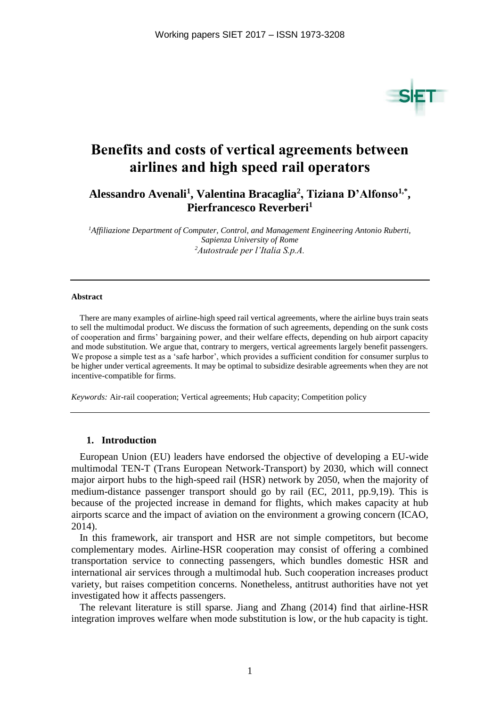

# **Benefits and costs of vertical agreements between airlines and high speed rail operators**

**Alessandro Avenali<sup>1</sup> , Valentina Bracaglia<sup>2</sup> , Tiziana D'Alfonso1,\* , Pierfrancesco Reverberi<sup>1</sup>**

*<sup>1</sup>Affiliazione Department of Computer, Control, and Management Engineering Antonio Ruberti, Sapienza University of Rome <sup>2</sup>Autostrade per l'Italia S.p.A.*

#### **Abstract**

There are many examples of airline-high speed rail vertical agreements, where the airline buys train seats to sell the multimodal product. We discuss the formation of such agreements, depending on the sunk costs of cooperation and firms' bargaining power, and their welfare effects, depending on hub airport capacity and mode substitution. We argue that, contrary to mergers, vertical agreements largely benefit passengers. We propose a simple test as a 'safe harbor', which provides a sufficient condition for consumer surplus to be higher under vertical agreements. It may be optimal to subsidize desirable agreements when they are not incentive-compatible for firms.

*Keywords:* Air-rail cooperation; Vertical agreements; Hub capacity; Competition policy

## **1. Introduction**

European Union (EU) leaders have endorsed the objective of developing a EU-wide multimodal TEN-T (Trans European Network-Transport) by 2030, which will connect major airport hubs to the high-speed rail (HSR) network by 2050, when the majority of medium-distance passenger transport should go by rail (EC, 2011, pp.9,19). This is because of the projected increase in demand for flights, which makes capacity at hub airports scarce and the impact of aviation on the environment a growing concern (ICAO, 2014).

In this framework, air transport and HSR are not simple competitors, but become complementary modes. Airline-HSR cooperation may consist of offering a combined transportation service to connecting passengers, which bundles domestic HSR and international air services through a multimodal hub. Such cooperation increases product variety, but raises competition concerns. Nonetheless, antitrust authorities have not yet investigated how it affects passengers.

The relevant literature is still sparse. Jiang and Zhang (2014) find that airline-HSR integration improves welfare when mode substitution is low, or the hub capacity is tight.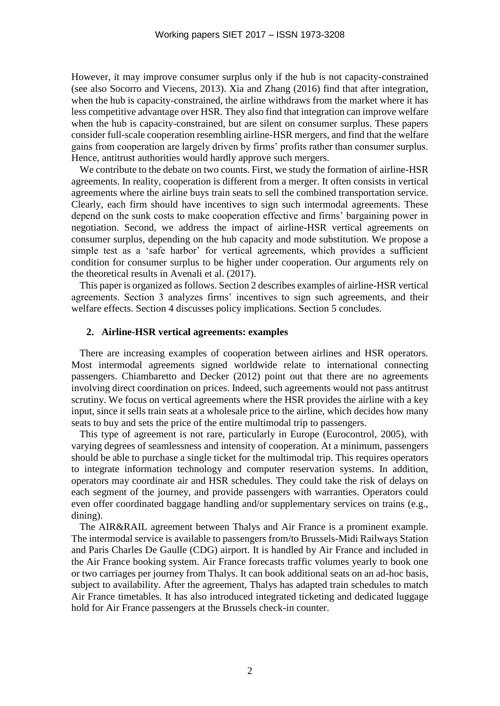However, it may improve consumer surplus only if the hub is not capacity-constrained (see also Socorro and Viecens, 2013). Xia and Zhang (2016) find that after integration, when the hub is capacity-constrained, the airline withdraws from the market where it has less competitive advantage over HSR. They also find that integration can improve welfare when the hub is capacity-constrained, but are silent on consumer surplus. These papers consider full-scale cooperation resembling airline-HSR mergers, and find that the welfare gains from cooperation are largely driven by firms' profits rather than consumer surplus. Hence, antitrust authorities would hardly approve such mergers.

We contribute to the debate on two counts. First, we study the formation of airline-HSR agreements. In reality, cooperation is different from a merger. It often consists in vertical agreements where the airline buys train seats to sell the combined transportation service. Clearly, each firm should have incentives to sign such intermodal agreements. These depend on the sunk costs to make cooperation effective and firms' bargaining power in negotiation. Second, we address the impact of airline-HSR vertical agreements on consumer surplus, depending on the hub capacity and mode substitution. We propose a simple test as a 'safe harbor' for vertical agreements, which provides a sufficient condition for consumer surplus to be higher under cooperation. Our arguments rely on the theoretical results in Avenali et al. (2017).

This paper is organized as follows. Section 2 describes examples of airline-HSR vertical agreements. Section 3 analyzes firms' incentives to sign such agreements, and their welfare effects. Section 4 discusses policy implications. Section 5 concludes.

## **2. Airline-HSR vertical agreements: examples**

There are increasing examples of cooperation between airlines and HSR operators. Most intermodal agreements signed worldwide relate to international connecting passengers. Chiambaretto and Decker (2012) point out that there are no agreements involving direct coordination on prices. Indeed, such agreements would not pass antitrust scrutiny. We focus on vertical agreements where the HSR provides the airline with a key input, since it sells train seats at a wholesale price to the airline, which decides how many seats to buy and sets the price of the entire multimodal trip to passengers.

This type of agreement is not rare, particularly in Europe (Eurocontrol, 2005), with varying degrees of seamlessness and intensity of cooperation. At a minimum, passengers should be able to purchase a single ticket for the multimodal trip. This requires operators to integrate information technology and computer reservation systems. In addition, operators may coordinate air and HSR schedules. They could take the risk of delays on each segment of the journey, and provide passengers with warranties. Operators could even offer coordinated baggage handling and/or supplementary services on trains (e.g., dining).

The AIR&RAIL agreement between Thalys and Air France is a prominent example. The intermodal service is available to passengers from/to Brussels-Midi Railways Station and Paris Charles De Gaulle (CDG) airport. It is handled by Air France and included in the Air France booking system. Air France forecasts traffic volumes yearly to book one or two carriages per journey from Thalys. It can book additional seats on an ad-hoc basis, subject to availability. After the agreement, Thalys has adapted train schedules to match Air France timetables. It has also introduced integrated ticketing and dedicated luggage hold for Air France passengers at the Brussels check-in counter.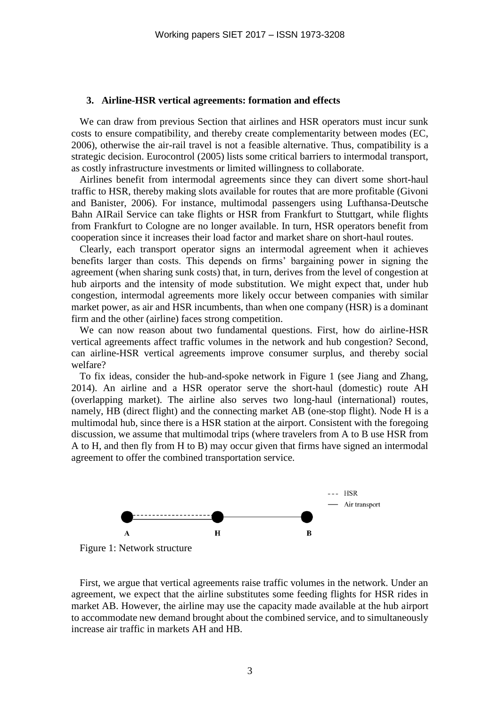## **3. Airline-HSR vertical agreements: formation and effects**

We can draw from previous Section that airlines and HSR operators must incur sunk costs to ensure compatibility, and thereby create complementarity between modes (EC, 2006), otherwise the air-rail travel is not a feasible alternative. Thus, compatibility is a strategic decision. Eurocontrol (2005) lists some critical barriers to intermodal transport, as costly infrastructure investments or limited willingness to collaborate.

Airlines benefit from intermodal agreements since they can divert some short-haul traffic to HSR, thereby making slots available for routes that are more profitable (Givoni and Banister, 2006). For instance, multimodal passengers using Lufthansa-Deutsche Bahn AIRail Service can take flights or HSR from Frankfurt to Stuttgart, while flights from Frankfurt to Cologne are no longer available. In turn, HSR operators benefit from cooperation since it increases their load factor and market share on short-haul routes.

Clearly, each transport operator signs an intermodal agreement when it achieves benefits larger than costs. This depends on firms' bargaining power in signing the agreement (when sharing sunk costs) that, in turn, derives from the level of congestion at hub airports and the intensity of mode substitution. We might expect that, under hub congestion, intermodal agreements more likely occur between companies with similar market power, as air and HSR incumbents, than when one company (HSR) is a dominant firm and the other (airline) faces strong competition.

We can now reason about two fundamental questions. First, how do airline-HSR vertical agreements affect traffic volumes in the network and hub congestion? Second, can airline-HSR vertical agreements improve consumer surplus, and thereby social welfare?

To fix ideas, consider the hub-and-spoke network in Figure 1 (see Jiang and Zhang, 2014). An airline and a HSR operator serve the short-haul (domestic) route AH (overlapping market). The airline also serves two long-haul (international) routes, namely, HB (direct flight) and the connecting market AB (one-stop flight). Node H is a multimodal hub, since there is a HSR station at the airport. Consistent with the foregoing discussion, we assume that multimodal trips (where travelers from A to B use HSR from A to H, and then fly from H to B) may occur given that firms have signed an intermodal agreement to offer the combined transportation service.



Figure 1: Network structure

First, we argue that vertical agreements raise traffic volumes in the network. Under an agreement, we expect that the airline substitutes some feeding flights for HSR rides in market AB. However, the airline may use the capacity made available at the hub airport to accommodate new demand brought about the combined service, and to simultaneously increase air traffic in markets AH and HB.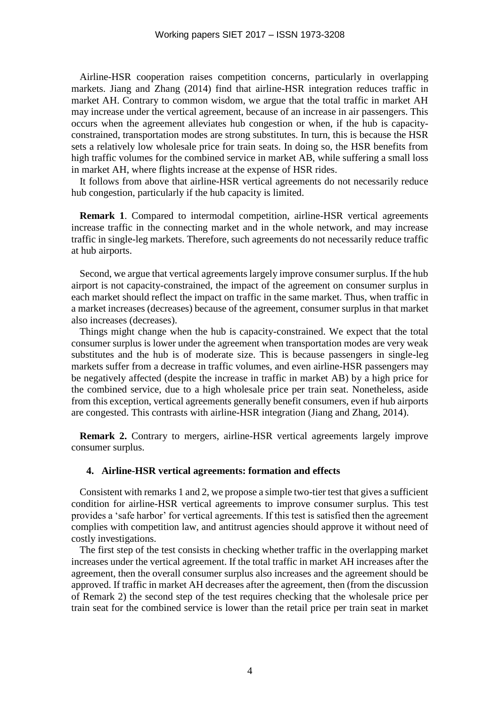Airline-HSR cooperation raises competition concerns, particularly in overlapping markets. Jiang and Zhang (2014) find that airline-HSR integration reduces traffic in market AH. Contrary to common wisdom, we argue that the total traffic in market AH may increase under the vertical agreement, because of an increase in air passengers. This occurs when the agreement alleviates hub congestion or when, if the hub is capacityconstrained, transportation modes are strong substitutes. In turn, this is because the HSR sets a relatively low wholesale price for train seats. In doing so, the HSR benefits from high traffic volumes for the combined service in market AB, while suffering a small loss in market AH, where flights increase at the expense of HSR rides.

It follows from above that airline-HSR vertical agreements do not necessarily reduce hub congestion, particularly if the hub capacity is limited.

**Remark 1.** Compared to intermodal competition, airline-HSR vertical agreements increase traffic in the connecting market and in the whole network, and may increase traffic in single-leg markets. Therefore, such agreements do not necessarily reduce traffic at hub airports.

Second, we argue that vertical agreements largely improve consumer surplus. If the hub airport is not capacity-constrained, the impact of the agreement on consumer surplus in each market should reflect the impact on traffic in the same market. Thus, when traffic in a market increases (decreases) because of the agreement, consumer surplus in that market also increases (decreases).

Things might change when the hub is capacity-constrained. We expect that the total consumer surplus is lower under the agreement when transportation modes are very weak substitutes and the hub is of moderate size. This is because passengers in single-leg markets suffer from a decrease in traffic volumes, and even airline-HSR passengers may be negatively affected (despite the increase in traffic in market AB) by a high price for the combined service, due to a high wholesale price per train seat. Nonetheless, aside from this exception, vertical agreements generally benefit consumers, even if hub airports are congested. This contrasts with airline-HSR integration (Jiang and Zhang, 2014).

**Remark 2.** Contrary to mergers, airline-HSR vertical agreements largely improve consumer surplus.

#### **4. Airline-HSR vertical agreements: formation and effects**

Consistent with remarks 1 and 2, we propose a simple two-tier test that gives a sufficient condition for airline-HSR vertical agreements to improve consumer surplus. This test provides a 'safe harbor' for vertical agreements. If this test is satisfied then the agreement complies with competition law, and antitrust agencies should approve it without need of costly investigations.

The first step of the test consists in checking whether traffic in the overlapping market increases under the vertical agreement. If the total traffic in market AH increases after the agreement, then the overall consumer surplus also increases and the agreement should be approved. If traffic in market AH decreases after the agreement, then (from the discussion of Remark 2) the second step of the test requires checking that the wholesale price per train seat for the combined service is lower than the retail price per train seat in market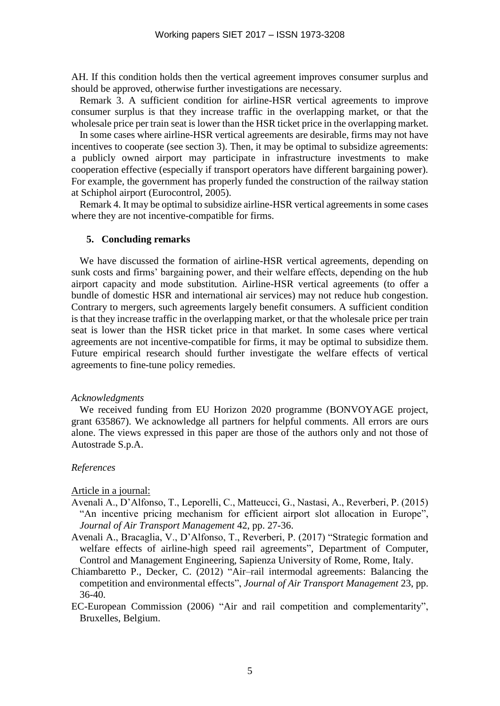AH. If this condition holds then the vertical agreement improves consumer surplus and should be approved, otherwise further investigations are necessary.

Remark 3. A sufficient condition for airline-HSR vertical agreements to improve consumer surplus is that they increase traffic in the overlapping market, or that the wholesale price per train seat is lower than the HSR ticket price in the overlapping market.

In some cases where airline-HSR vertical agreements are desirable, firms may not have incentives to cooperate (see section 3). Then, it may be optimal to subsidize agreements: a publicly owned airport may participate in infrastructure investments to make cooperation effective (especially if transport operators have different bargaining power). For example, the government has properly funded the construction of the railway station at Schiphol airport (Eurocontrol, 2005).

Remark 4. It may be optimal to subsidize airline-HSR vertical agreements in some cases where they are not incentive-compatible for firms.

## **5. Concluding remarks**

We have discussed the formation of airline-HSR vertical agreements, depending on sunk costs and firms' bargaining power, and their welfare effects, depending on the hub airport capacity and mode substitution. Airline-HSR vertical agreements (to offer a bundle of domestic HSR and international air services) may not reduce hub congestion. Contrary to mergers, such agreements largely benefit consumers. A sufficient condition is that they increase traffic in the overlapping market, or that the wholesale price per train seat is lower than the HSR ticket price in that market. In some cases where vertical agreements are not incentive-compatible for firms, it may be optimal to subsidize them. Future empirical research should further investigate the welfare effects of vertical agreements to fine-tune policy remedies.

## *Acknowledgments*

We received funding from EU Horizon 2020 programme (BONVOYAGE project, grant 635867). We acknowledge all partners for helpful comments. All errors are ours alone. The views expressed in this paper are those of the authors only and not those of Autostrade S.p.A.

## *References*

## Article in a journal:

- Avenali A., D'Alfonso, T., Leporelli, C., Matteucci, G., Nastasi, A., Reverberi, P. (2015) "An incentive pricing mechanism for efficient airport slot allocation in Europe", *Journal of Air Transport Management* 42, pp. 27-36.
- Avenali A., Bracaglia, V., D'Alfonso, T., Reverberi, P. (2017) "Strategic formation and welfare effects of airline-high speed rail agreements", Department of Computer, Control and Management Engineering, Sapienza University of Rome, Rome, Italy.
- Chiambaretto P., Decker, C. (2012) "Air–rail intermodal agreements: Balancing the competition and environmental effects", *Journal of Air Transport Management* 23, pp. 36-40.
- EC-European Commission (2006) "Air and rail competition and complementarity", Bruxelles, Belgium.